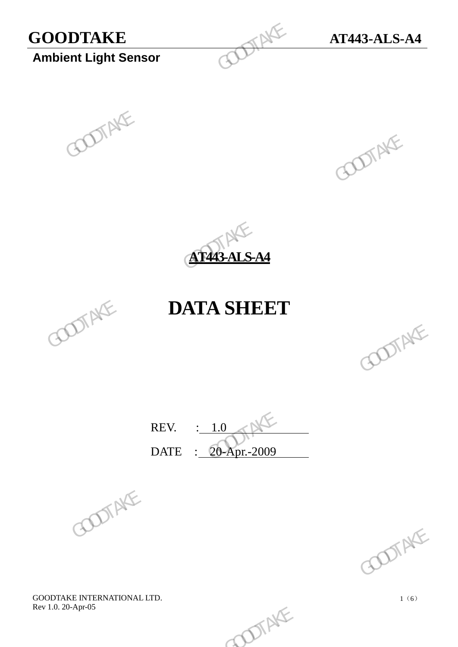# **GOODTAKE AT443-ALS-A4**<br> **Ambient Light Sensor**

**Ambient Light Sensor**







## **DATA SHEET**



REV. : 1.0 DATE : 20-Apr.-2009 REV.  $\frac{1.0}{20\text{-Apr.}2009}$  GOOTAKE

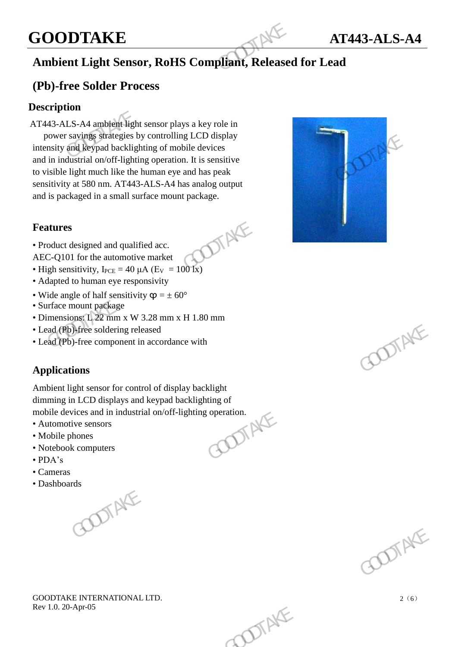## **GOODTAKE AT443-ALS-A4**

## **Ambient Light Sensor, RoHS Compliant, Released for Lead**

## **(Pb)-free Solder Process**

#### **Description**

AT443-ALS-A4 ambient light sensor plays a key role in power savings strategies by controlling LCD display intensity and keypad backlighting of mobile devices and in industrial on/off-lighting operation. It is sensitive to visible light much like the human eye and has peak sensitivity at 580 nm. AT443-ALS-A4 has analog output and is packaged in a small surface mount package. **GOODTAKE**<br>
Ambient Light Sensor, RoHS Compliant, Released<br>
(Pb)-free Solder Process<br>
Description<br>
AT443-ALS-A4 ambient light sensor plays a key role in<br>
power sayings strategies by controlling LCD display<br>
intensity and R power saving strategies by controlling LCD displays<br>intensity and keynad backlighting of mobile devices<br>and in industrial on/off-lighting operation. It is sensitive<br>to visible light much like the human eye and has peak<br>se

#### **Features**



- Product designed and qualified acc.
- AEC-Q101 for the automotive market
- High sensitivity,  $I_{PCE} = 40 \mu A (E_V = 100 \text{ Jx})$
- Adapted to human eye responsivity
- Wide angle of half sensitivity  $\varphi = \pm 60^{\circ}$
- Surface mount package
- Dimensions: L 22 mm x W 3.28 mm x H 1.80 mm
- Lead (Pb)-free soldering released
- Lead (Pb)-free component in accordance with

## **Applications**

Ambient light sensor for control of display backlight dimming in LCD displays and keypad backlighting of<br>mobile devices and in industrial on/off-lighting operation.<br>• Automotive sensors<br>• Mobile phones<br>• Notebook computers<br>• PDA: mobile devices and in industrial on/off-lighting operation. b) free soldering released<br>
of the component in accordance with<br> **ions**<br>  $\begin{bmatrix} \text{GOD} \\ \text{D} \\ \text{D} \\ \text{D} \\ \text{D} \\ \text{D} \\ \text{D} \\ \end{bmatrix}$ <br>  $\begin{bmatrix} \text{GOD} \\ \text{D} \\ \text{D} \\ \text{D} \\ \text{D} \\ \end{bmatrix}$ <br>  $\begin{bmatrix} \text{GOD} \\ \text{D} \\ \text{D} \\ \text{D} \\ \end{bmatrix}$ <br>

- Automotive sensors
- Mobile phones
- Notebook computers
- PDA's
- Cameras
- 

• Dashboards<br>
1





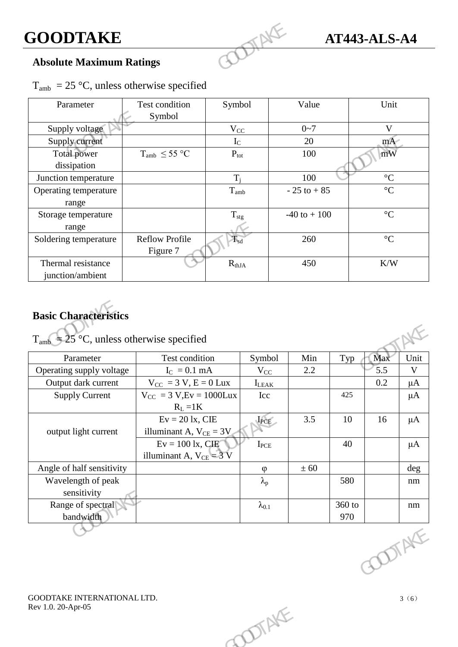## **Absolute Maximum Ratings**

| $T_{amb}$ = 25 °C, unless otherwise specified |  |  |  |  |
|-----------------------------------------------|--|--|--|--|
|-----------------------------------------------|--|--|--|--|

| <b>GOODTAKE</b>                                                               |                                   |                  |                  | <b>AT443-ALS-A4</b> |     |                           |             |
|-------------------------------------------------------------------------------|-----------------------------------|------------------|------------------|---------------------|-----|---------------------------|-------------|
| <b>Absolute Maximum Ratings</b>                                               |                                   |                  |                  |                     |     |                           |             |
| $T_{amb}$ = 25 °C, unless otherwise specified                                 |                                   |                  |                  |                     |     |                           |             |
| Parameter                                                                     | Test condition<br>Symbol          | Symbol           |                  | Value               |     | Unit                      |             |
| Supply voltage                                                                |                                   | $V_{CC}$         |                  | $0 - 7$             |     | V                         |             |
| Supply current                                                                |                                   | $I_{C}$          |                  | 20                  |     | mA                        |             |
| <b>Total power</b><br>dissipation                                             | $T_{amb} \leq 55 \degree C$       | $P_{\text{tot}}$ |                  | 100                 |     | mW                        |             |
| Junction temperature                                                          |                                   | $T_i$            |                  | 100                 |     | $\mathcal{C}$             |             |
| Operating temperature<br>range                                                |                                   | $T_{amb}$        |                  | $-25$ to $+85$      |     | $\overline{\mathfrak{C}}$ |             |
| Storage temperature<br>range                                                  |                                   | $T_{\rm stg}$    |                  | $-40$ to $+100$     |     | $\mathfrak{C}$            |             |
| Soldering temperature                                                         | <b>Reflow Profile</b><br>Figure 7 | $T_{sd}$         |                  | 260                 |     | $\mathfrak{C}$            |             |
| Thermal resistance<br>junction/ambient                                        |                                   | $R_{thJA}$       |                  | 450                 |     | K/W                       |             |
| <b>Basic Characteristics</b><br>$T_{amb}$ = 25 °C, unless otherwise specified |                                   |                  |                  |                     |     |                           |             |
| Parameter                                                                     | Test condition                    |                  | Symbol           | Min                 | Typ | Max                       | Unit        |
| Operating supply voltage                                                      | $I_C = 0.1$ mA                    |                  | $V_{CC}$         | 2.2                 |     | 5.5                       | $\mathbf V$ |
| Output dark current                                                           | $V_{CC} = 3 V, E = 0 Lux$         |                  | $I_{\rm I, EAK}$ |                     |     | 0.2                       | $\mu A$     |

## **Basic Characteristics**

| Test condition<br>Parameter                            | Symbol            | Min  | Typ    | Max           | Unit        |
|--------------------------------------------------------|-------------------|------|--------|---------------|-------------|
| Operating supply voltage<br>$I_C = 0.1$ mA             | $V_{CC}$          | 2.2  |        | 5.5           | $\mathbf V$ |
| $V_{CC} = 3 V, E = 0 Lux$<br>Output dark current       | $I_{LEAK}$        |      |        | 0.2           | $\mu A$     |
| $V_{CC}$ = 3 V, Ev = 1000 Lux<br><b>Supply Current</b> | Icc               |      | 425    |               | $\mu A$     |
| $R_L = 1K$                                             |                   |      |        |               |             |
| $Ev = 20$ lx, CIE                                      | IPCE              | 3.5  | 10     | 16            | $\mu A$     |
| output light current<br>illuminant A, $V_{CE} = 3V$    |                   |      |        |               |             |
| $Ev = 100$ lx, CIE                                     | $I_{PCE}$         |      | 40     |               | $\mu A$     |
| illuminant A, $V_{CE} = 3 V$                           |                   |      |        |               |             |
| Angle of half sensitivity                              | $\varphi$         | ± 60 |        |               | deg         |
| Wavelength of peak                                     | $\lambda_{\rm p}$ |      | 580    |               | $\rm{nm}$   |
| sensitivity                                            |                   |      |        |               |             |
| Range of spectral                                      | $\lambda_{0.1}$   |      | 360 to |               | nm          |
| bandwidth                                              |                   |      | 970    |               |             |
|                                                        |                   |      |        | <b>COTAKE</b> |             |
| GOODTAKE INTERNATIONAL LTD.<br>Rev 1.0. 20-Apr-05      | DIENE             |      |        |               | 3(6)        |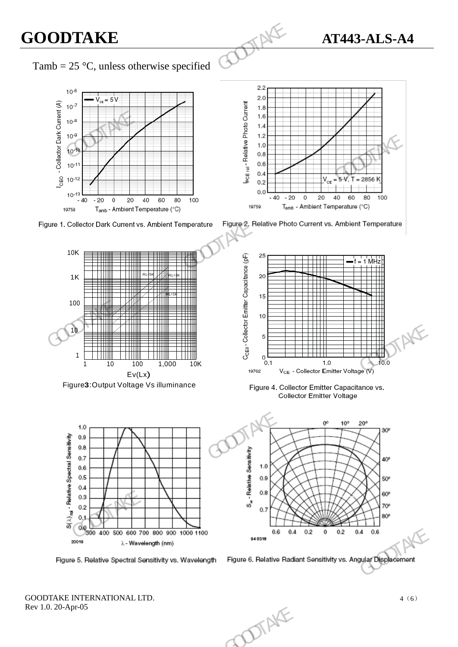## **GOODTAKE AT443-ALS-A4**

## Tamb = 25 °C, unless otherwise specified













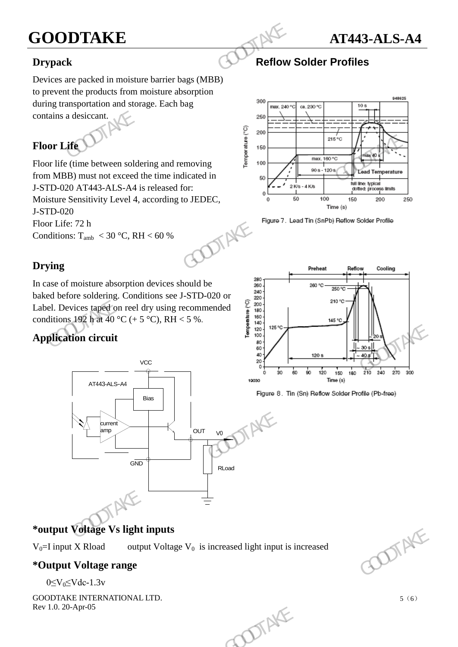## **GOODTAKE AT443-ALS-A4**



### **Drypack Reflow Solder Profiles**

Devices are packed in moisture barrier bags (MBB) to prevent the products from moisture absorption during transportation and storage. Each bag contains a desiccant.

## **Floor Life**

Floor life (time between soldering and removing from MBB) must not exceed the time indicated in J-STD-020 AT443-ALS-A4 is released for: Moisture Sensitivity Level 4, according to JEDEC, J-STD-020 Floor Life: 72 h Conditions:  $T_{amb}$  < 30 °C, RH < 60 % **GOODTAKE**<br>
Drypack<br>
Devices are packed in moisture barrier bags (MBB)<br>
to prevent the products from moisture absorption<br>
during transportation and storage. Each bag<br>
contains a desiccant.<br> **Floor Life**<br>
Floor Life<br>
Floor



## **Drying**

In case of moisture absorption devices should be baked before soldering. Conditions see J-STD-020 or Label. Devices taped on reel dry using recommended conditions 192 h at 40 °C (+ 5 °C), RH < 5 %.

## **Application circuit**



## **\*output Voltage Vs light inputs**

 $V_0$ =I input X Rload output Voltage  $V_0$  is increased light input is increased

#### **\*Output Voltage range**

 $0 \leq V_0 \leq V$ dc-1.3v







5(6)